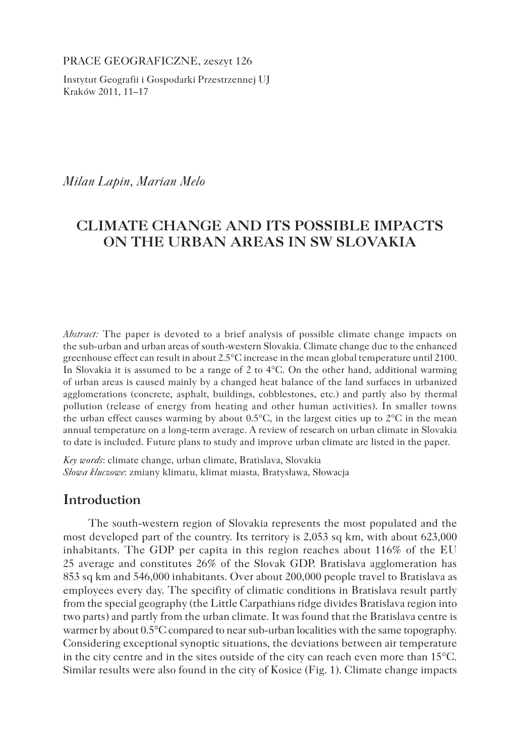PRACE GEOGRAFICZNE, zeszyt 126

Instytut Geografii i Gospodarki Przestrzennej UJ Kraków 2011, 11–17

*Milan Lapin, Marian Melo*

## **CLIMATE CHANGE AND ITS POSSIBLE IMPACTS ON THE URBAN AREAS IN SW SLOVAKIA**

*Abstract:* The paper is devoted to a brief analysis of possible climate change impacts on the sub-urban and urban areas of south-western Slovakia. Climate change due to the enhanced greenhouse effect can result in about 2.5°C increase in the mean global temperature until 2100. In Slovakia it is assumed to be a range of 2 to  $4^{\circ}$ C. On the other hand, additional warming of urban areas is caused mainly by a changed heat balance of the land surfaces in urbanized agglomerations (concrete, asphalt, buildings, cobblestones, etc.) and partly also by thermal pollution (release of energy from heating and other human activities). In smaller towns the urban effect causes warming by about  $0.5^{\circ}$ C, in the largest cities up to  $2^{\circ}$ C in the mean annual temperature on a long-term average. A review of research on urban climate in Slovakia to date is included. Future plans to study and improve urban climate are listed in the paper.

*Key words*: climate change, urban climate, Bratislava, Slovakia *Słowa kluczowe*: zmiany klimatu, klimat miasta, Bratysława, Słowacja

### **Introduction**

The south-western region of Slovakia represents the most populated and the most developed part of the country. Its territory is 2,053 sq km, with about 623,000 inhabitants. The GDP per capita in this region reaches about 116% of the EU 25 average and constitutes 26% of the Slovak GDP. Bratislava agglomeration has 853 sq km and 546,000 inhabitants. Over about 200,000 people travel to Bratislava as employees every day. The specifity of climatic conditions in Bratislava result partly from the special geography (the Little Carpathians ridge divides Bratislava region into two parts) and partly from the urban climate. It was found that the Bratislava centre is warmer by about 0.5°C compared to near sub-urban localities with the same topography. Considering exceptional synoptic situations, the deviations between air temperature in the city centre and in the sites outside of the city can reach even more than 15°C. Similar results were also found in the city of Kosice (Fig. 1). Climate change impacts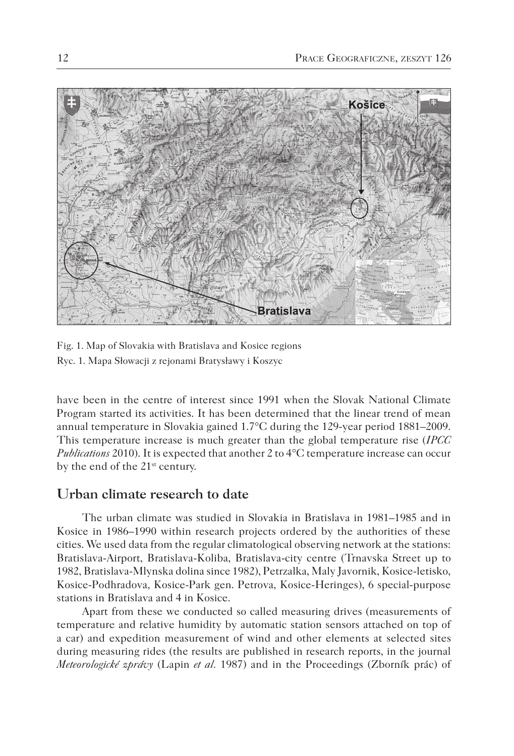

Fig. 1. Map of Slovakia with Bratislava and Kosice regions Ryc. 1. Mapa Słowacji z rejonami Bratysławy i Koszyc

have been in the centre of interest since 1991 when the Slovak National Climate Program started its activities. It has been determined that the linear trend of mean annual temperature in Slovakia gained 1.7°C during the 129-year period 1881–2009. This temperature increase is much greater than the global temperature rise (*IPCC Publications* 2010). It is expected that another 2 to 4°C temperature increase can occur by the end of the 21<sup>st</sup> century.

#### **Urban climate research to date**

The urban climate was studied in Slovakia in Bratislava in 1981–1985 and in Kosice in 1986–1990 within research projects ordered by the authorities of these cities. We used data from the regular climatological observing network at the stations: Bratislava-Airport, Bratislava-Koliba, Bratislava-city centre (Trnavska Street up to 1982, Bratislava-Mlynska dolina since 1982), Petrzalka, Maly Javornik, Kosice-letisko, Kosice-Podhradova, Kosice-Park gen. Petrova, Kosice-Heringes), 6 special-purpose stations in Bratislava and 4 in Kosice.

Apart from these we conducted so called measuring drives (measurements of temperature and relative humidity by automatic station sensors attached on top of a car) and expedition measurement of wind and other elements at selected sites during measuring rides (the results are published in research reports, in the journal *Meteorologické zprávy* (Lapin *et al.* 1987) and in the Proceedings (Zborník prác) of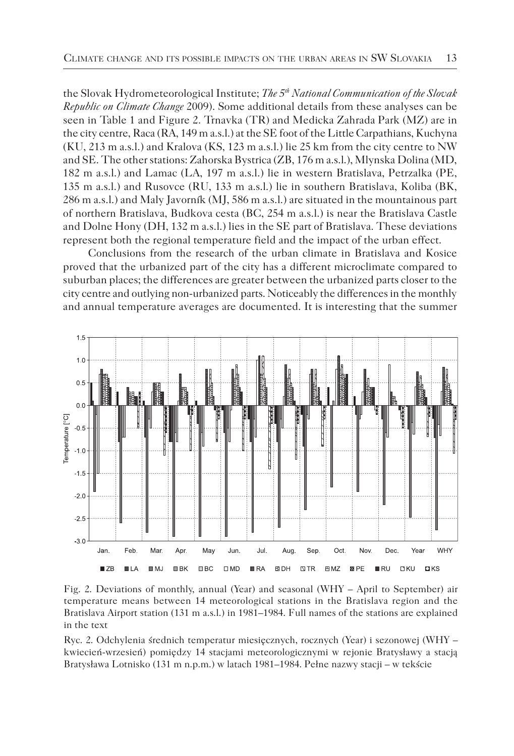the Slovak Hydrometeorological Institute; *The 5th National Communication of the Slovak Republic on Climate Change* 2009). Some additional details from these analyses can be seen in Table 1 and Figure 2. Trnavka (TR) and Medicka Zahrada Park (MZ) are in the city centre, Raca (RA, 149 m a.s.l.) at the SE foot of the Little Carpathians, Kuchyna (KU, 213 m a.s.l.) and Kralova (KS, 123 m a.s.l.) lie 25 km from the city centre to NW and SE. The other stations: Zahorska Bystrica (ZB, 176 m a.s.l.), Mlynska Dolina (MD, 182 m a.s.l.) and Lamac (LA, 197 m a.s.l.) lie in western Bratislava, Petrzalka (PE, 135 m a.s.l.) and Rusovce (RU, 133 m a.s.l.) lie in southern Bratislava, Koliba (BK, 286 m a.s.l.) and Maly Javorník (MJ, 586 m a.s.l.) are situated in the mountainous part of northern Bratislava, Budkova cesta (BC, 254 m a.s.l.) is near the Bratislava Castle and Dolne Hony (DH, 132 m a.s.l.) lies in the SE part of Bratislava. These deviations represent both the regional temperature field and the impact of the urban effect.

Conclusions from the research of the urban climate in Bratislava and Kosice proved that the urbanized part of the city has a different microclimate compared to suburban places; the differences are greater between the urbanized parts closer to the city centre and outlying non-urbanized parts. Noticeably the differences in the monthly and annual temperature averages are documented. It is interesting that the summer



Fig. 2. Deviations of monthly, annual (Year) and seasonal (WHY – April to September) air temperature means between 14 meteorological stations in the Bratislava region and the Bratislava Airport station (131 m a.s.l.) in 1981–1984. Full names of the stations are explained in the text

Ryc. 2. Odchylenia średnich temperatur miesięcznych, rocznych (Year) i sezonowej (WHY – kwiecień-wrzesień) pomiędzy 14 stacjami meteorologicznymi w rejonie Bratysławy a stacją Bratysława Lotnisko (131 m n.p.m.) w latach 1981–1984. Pełne nazwy stacji – w tekście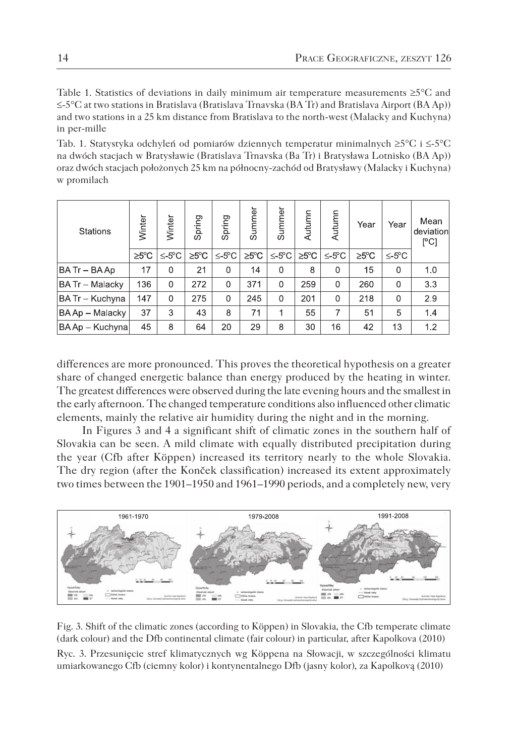Table 1. Statistics of deviations in daily minimum air temperature measurements ≥5°C and ≤-5°C at two stations in Bratislava (Bratislava Trnavska (BA Tr) and Bratislava Airport (BA Ap)) and two stations in a 25 km distance from Bratislava to the north-west (Malacky and Kuchyna) in per-mille

Tab. 1. Statystyka odchyleń od pomiarów dziennych temperatur minimalnych ≥5°C i ≤-5°C na dwóch stacjach w Bratysławie (Bratislava Trnavska (Ba Tr) i Bratysława Lotnisko (BA Ap)) oraz dwóch stacjach położonych 25 km na północny-zachód od Bratysławy (Malacky i Kuchyna) w promilach

| <b>Stations</b>        | Winter             | Winter            | Spring            | Spring            | Summer | Summer     | Autumn            | Autumn            | Year               | Year              | Mean<br>deviation<br>$\sqrt{C}$ |
|------------------------|--------------------|-------------------|-------------------|-------------------|--------|------------|-------------------|-------------------|--------------------|-------------------|---------------------------------|
|                        | $\geq 5^{\circ}$ C | $\leq 5^{\circ}C$ | $\geq 5^{\circ}C$ | $\leq 5^{\circ}C$ | ≥5°C   | $\leq$ 5°C | $\geq 5^{\circ}C$ | $\leq 5^{\circ}C$ | $\geq 5^{\circ}$ C | $\leq 5^{\circ}C$ |                                 |
| BA Tr - BA Ap          | 17                 | $\Omega$          | 21                | 0                 | 14     | 0          | 8                 | 0                 | 15                 | 0                 | 1.0                             |
| <b>BA Tr - Malacky</b> | 136                | $\mathbf{0}$      | 272               | $\Omega$          | 371    | $\Omega$   | 259               | 0                 | 260                | $\mathbf{0}$      | 3.3                             |
| BA Tr - Kuchyna        | 147                | $\Omega$          | 275               | $\Omega$          | 245    | $\Omega$   | 201               | $\Omega$          | 218                | $\Omega$          | 2.9                             |
| BA Ap - Malacky        | 37                 | 3                 | 43                | 8                 | 71     | 1          | 55                | 7                 | 51                 | 5                 | 1.4                             |
| BA Ap - Kuchyna        | 45                 | 8                 | 64                | 20                | 29     | 8          | 30                | 16                | 42                 | 13                | 1,2                             |

differences are more pronounced. This proves the theoretical hypothesis on a greater share of changed energetic balance than energy produced by the heating in winter. The greatest differences were observed during the late evening hours and the smallest in the early afternoon. The changed temperature conditions also influenced other climatic elements, mainly the relative air humidity during the night and in the morning.

In Figures 3 and 4 a significant shift of climatic zones in the southern half of Slovakia can be seen. A mild climate with equally distributed precipitation during the year (Cfb after Köppen) increased its territory nearly to the whole Slovakia. The dry region (after the Konček classification) increased its extent approximately two times between the 1901–1950 and 1961–1990 periods, and a completely new, very



Fig. 3. Shift of the climatic zones (according to Köppen) in Slovakia, the Cfb temperate climate (dark colour) and the Dfb continental climate (fair colour) in particular, after Kapolkova (2010) Ryc. 3. Przesunięcie stref klimatycznych wg Köppena na Słowacji, w szczególności klimatu umiarkowanego Cfb (ciemny kolor) i kontynentalnego Dfb (jasny kolor), za Kapolkovą (2010)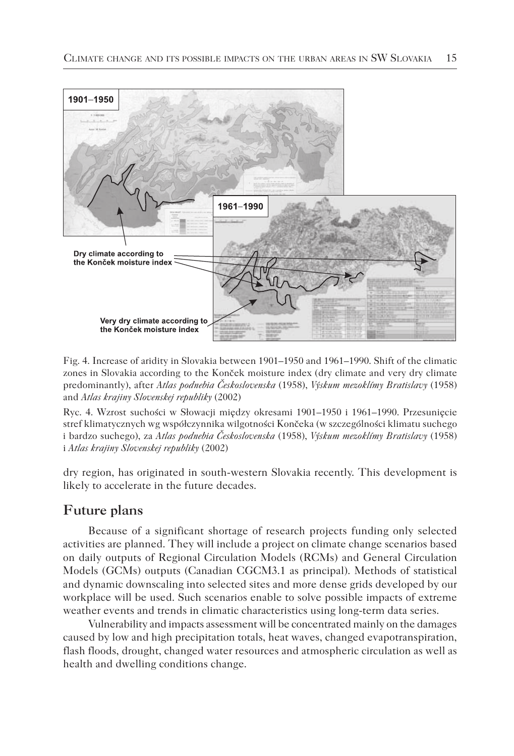

Fig. 4. Increase of aridity in Slovakia between 1901–1950 and 1961–1990. Shift of the climatic zones in Slovakia according to the Konček moisture index (dry climate and very dry climate predominantly), after *Atlas podnebia Československa* (1958), *Výskum mezoklímy Bratislavy* (1958) and *Atlas krajiny Slovenskej republiky* (2002)

Ryc. 4. Wzrost suchości w Słowacji między okresami 1901–1950 i 1961–1990. Przesunięcie stref klimatycznych wg współczynnika wilgotności Končeka (w szczególności klimatu suchego i bardzo suchego), za *Atlas podnebia Československa* (1958), *Výskum mezoklímy Bratislavy* (1958) i *Atlas krajiny Slovenskej republiky* (2002)

dry region, has originated in south-western Slovakia recently. This development is likely to accelerate in the future decades.

## **Future plans**

Because of a significant shortage of research projects funding only selected activities are planned. They will include a project on climate change scenarios based on daily outputs of Regional Circulation Models (RCMs) and General Circulation Models (GCMs) outputs (Canadian CGCM3.1 as principal). Methods of statistical and dynamic downscaling into selected sites and more dense grids developed by our workplace will be used. Such scenarios enable to solve possible impacts of extreme weather events and trends in climatic characteristics using long-term data series.

Vulnerability and impacts assessment will be concentrated mainly on the damages caused by low and high precipitation totals, heat waves, changed evapotranspiration, flash floods, drought, changed water resources and atmospheric circulation as well as health and dwelling conditions change.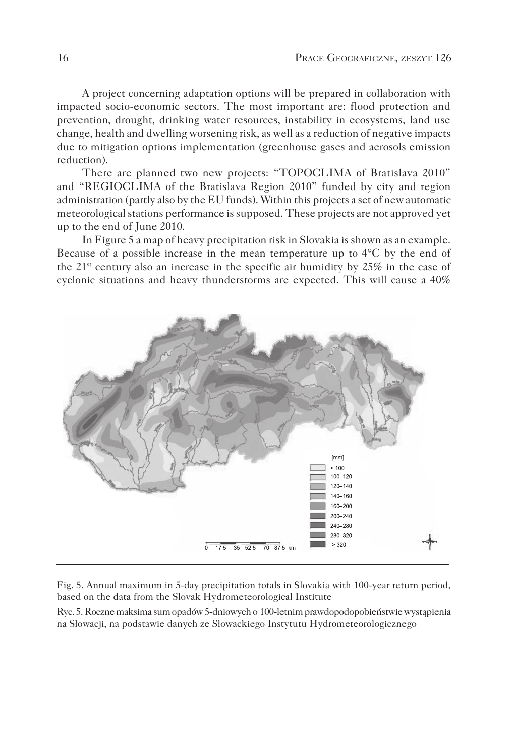A project concerning adaptation options will be prepared in collaboration with impacted socio-economic sectors. The most important are: flood protection and prevention, drought, drinking water resources, instability in ecosystems, land use change, health and dwelling worsening risk, as well as a reduction of negative impacts due to mitigation options implementation (greenhouse gases and aerosols emission reduction).

There are planned two new projects: "TOPOCLIMA of Bratislava 2010" and "REGIOCLIMA of the Bratislava Region 2010" funded by city and region administration (partly also by the EU funds). Within this projects a set of new automatic meteorological stations performance is supposed. These projects are not approved yet up to the end of June 2010.

In Figure 5 a map of heavy precipitation risk in Slovakia is shown as an example. Because of a possible increase in the mean temperature up to 4°C by the end of the  $21<sup>st</sup>$  century also an increase in the specific air humidity by  $25%$  in the case of cyclonic situations and heavy thunderstorms are expected. This will cause a 40%



Fig. 5. Annual maximum in 5-day precipitation totals in Slovakia with 100-year return period, based on the data from the Slovak Hydrometeorological Institute

Ryc. 5. Roczne maksima sum opadów 5-dniowych o 100-letnim prawdopodopobieństwie wystąpienia na Słowacji, na podstawie danych ze Słowackiego Instytutu Hydrometeorologicznego